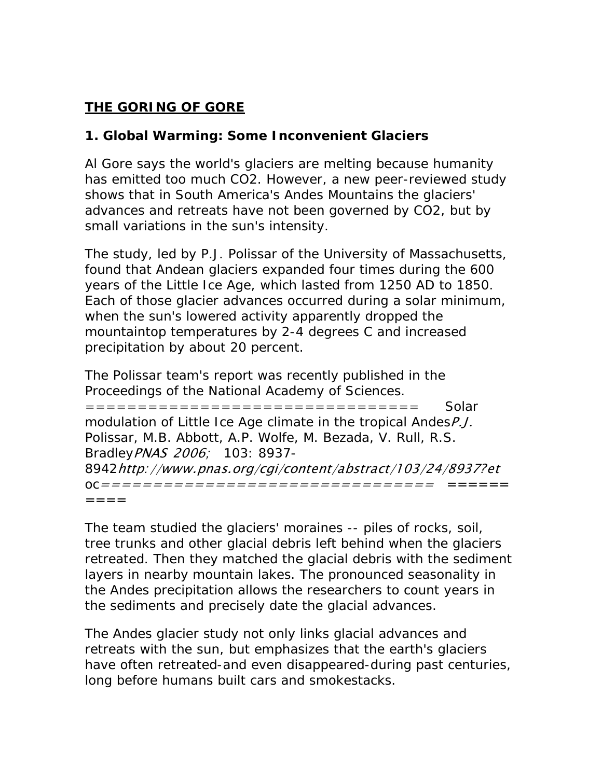# **THE GORING OF GORE**

## **1. Global Warming: Some Inconvenient Glaciers**

Al Gore says the world's glaciers are melting because humanity has emitted too much CO2. However, a new peer-reviewed study shows that in South America's Andes Mountains the glaciers' advances and retreats have not been governed by CO2, but by small variations in the sun's intensity.

The study, led by P.J. Polissar of the University of Massachusetts, found that Andean glaciers expanded four times during the 600 years of the Little Ice Age, which lasted from 1250 AD to 1850. Each of those glacier advances occurred during a solar minimum, when the sun's lowered activity apparently dropped the mountaintop temperatures by 2-4 degrees C and increased precipitation by about 20 percent.

The Polissar team's report was recently published in the Proceedings of the National Academy of Sciences. ================================ *Solar modulation of Little Ice Age climate in the tropical Andes*P.J. *Polissar, M.B. Abbott, A.P. Wolfe, M. Bezada, V. Rull, R.S. Bradley*PNAS 2006; *103: 8937- 8942*http://www.pnas.org/cgi/content/abstract/103/24/8937?et *oc*================================ ======  $=$   $=$   $=$ 

The team studied the glaciers' moraines -- piles of rocks, soil, tree trunks and other glacial debris left behind when the glaciers retreated. Then they matched the glacial debris with the sediment layers in nearby mountain lakes. The pronounced seasonality in the Andes precipitation allows the researchers to count years in the sediments and precisely date the glacial advances.

The Andes glacier study not only links glacial advances and retreats with the sun, but emphasizes that the earth's glaciers have often retreated-and even disappeared-during past centuries, long before humans built cars and smokestacks.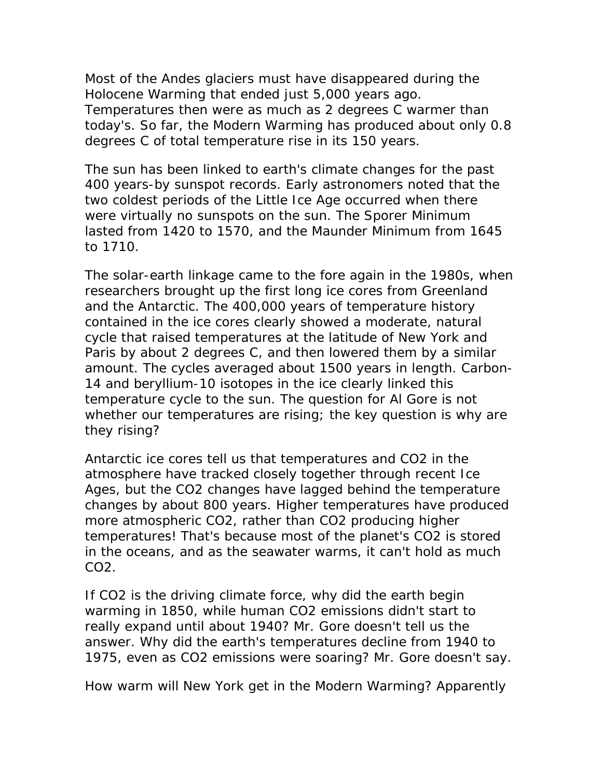Most of the Andes glaciers must have disappeared during the Holocene Warming that ended just 5,000 years ago. Temperatures then were as much as 2 degrees C warmer than today's. So far, the Modern Warming has produced about only 0.8 degrees C of total temperature rise in its 150 years.

The sun has been linked to earth's climate changes for the past 400 years-by sunspot records. Early astronomers noted that the two coldest periods of the Little Ice Age occurred when there were virtually no sunspots on the sun. The Sporer Minimum lasted from 1420 to 1570, and the Maunder Minimum from 1645 to 1710.

The solar-earth linkage came to the fore again in the 1980s, when researchers brought up the first long ice cores from Greenland and the Antarctic. The 400,000 years of temperature history contained in the ice cores clearly showed a moderate, natural cycle that raised temperatures at the latitude of New York and Paris by about 2 degrees C, and then lowered them by a similar amount. The cycles averaged about 1500 years in length. Carbon-14 and beryllium-10 isotopes in the ice clearly linked this temperature cycle to the sun. The question for Al Gore is not whether our temperatures are rising; the key question is why are they rising?

Antarctic ice cores tell us that temperatures and CO2 in the atmosphere have tracked closely together through recent Ice Ages, but the CO2 changes have lagged behind the temperature changes by about 800 years. Higher temperatures have produced more atmospheric CO2, rather than CO2 producing higher temperatures! That's because most of the planet's CO2 is stored in the oceans, and as the seawater warms, it can't hold as much CO2.

If CO2 is the driving climate force, why did the earth begin warming in 1850, while human CO2 emissions didn't start to really expand until about 1940? Mr. Gore doesn't tell us the answer. Why did the earth's temperatures decline from 1940 to 1975, even as CO2 emissions were soaring? Mr. Gore doesn't say.

How warm will New York get in the Modern Warming? Apparently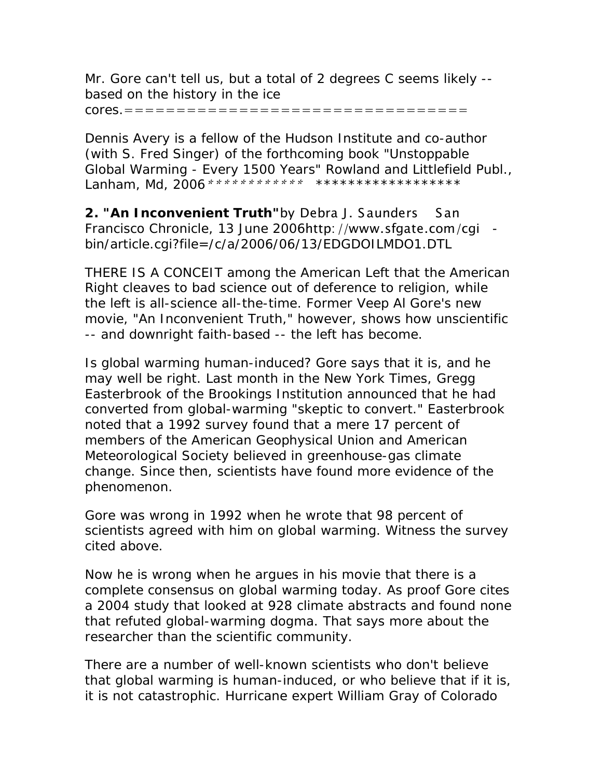Mr. Gore can't tell us, but a total of 2 degrees C seems likely - based on the history in the ice

cores.=================================

*Dennis Avery is a fellow of the Hudson Institute and co-author (with S. Fred Singer) of the forthcoming book "Unstoppable Global Warming - Every 1500 Years" Rowland and Littlefield Publ.,*  Lanham, Md, 2006\*\*\*\*\*\*\*\*\*\*\*\*\* \*\*\*\*\*\*\*\*\*\*\*\*\*\*\*\*\*\*

**2. "An Inconvenient Truth"**by Debra J. Saunders San Francisco Chronicle, 13 June 2006http://www.sfgate.com/cgi bin/article.cgi?file=/c/a/2006/06/13/EDGDOILMDO1.DTL

THERE IS A CONCEIT among the American Left that the American Right cleaves to bad science out of deference to religion, while the left is all-science all-the-time. Former Veep Al Gore's new movie, "An Inconvenient Truth," however, shows how unscientific -- and downright faith-based -- the left has become.

Is global warming human-induced? Gore says that it is, and he may well be right. Last month in the New York Times, Gregg Easterbrook of the Brookings Institution announced that he had converted from global-warming "skeptic to convert." Easterbrook noted that a 1992 survey found that a mere 17 percent of members of the American Geophysical Union and American Meteorological Society believed in greenhouse-gas climate change. Since then, scientists have found more evidence of the phenomenon.

Gore was wrong in 1992 when he wrote that 98 percent of scientists agreed with him on global warming. Witness the survey cited above.

Now he is wrong when he argues in his movie that there is a complete consensus on global warming today. As proof Gore cites a 2004 study that looked at 928 climate abstracts and found none that refuted global-warming dogma. That says more about the researcher than the scientific community.

There are a number of well-known scientists who don't believe that global warming is human-induced, or who believe that if it is, it is not catastrophic. Hurricane expert William Gray of Colorado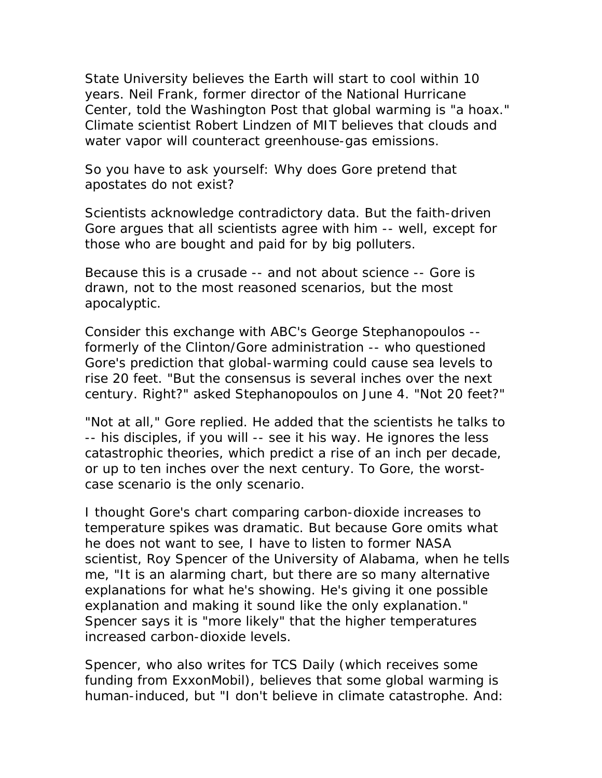State University believes the Earth will start to cool within 10 years. Neil Frank, former director of the National Hurricane Center, told the Washington Post that global warming is "a hoax." Climate scientist Robert Lindzen of MIT believes that clouds and water vapor will counteract greenhouse-gas emissions.

So you have to ask yourself: Why does Gore pretend that apostates do not exist?

Scientists acknowledge contradictory data. But the faith-driven Gore argues that all scientists agree with him -- well, except for those who are bought and paid for by big polluters.

Because this is a crusade -- and not about science -- Gore is drawn, not to the most reasoned scenarios, but the most apocalyptic.

Consider this exchange with ABC's George Stephanopoulos - formerly of the Clinton/Gore administration -- who questioned Gore's prediction that global-warming could cause sea levels to rise 20 feet. "But the consensus is several inches over the next century. Right?" asked Stephanopoulos on June 4. "Not 20 feet?"

"Not at all," Gore replied. He added that the scientists he talks to -- his disciples, if you will -- see it his way. He ignores the less catastrophic theories, which predict a rise of an inch per decade, or up to ten inches over the next century. To Gore, the worstcase scenario is the only scenario.

I thought Gore's chart comparing carbon-dioxide increases to temperature spikes was dramatic. But because Gore omits what he does not want to see, I have to listen to former NASA scientist, Roy Spencer of the University of Alabama, when he tells me, "It is an alarming chart, but there are so many alternative explanations for what he's showing. He's giving it one possible explanation and making it sound like the only explanation." Spencer says it is "more likely" that the higher temperatures increased carbon-dioxide levels.

Spencer, who also writes for TCS Daily (which receives some funding from ExxonMobil), believes that some global warming is human-induced, but "I don't believe in climate catastrophe. And: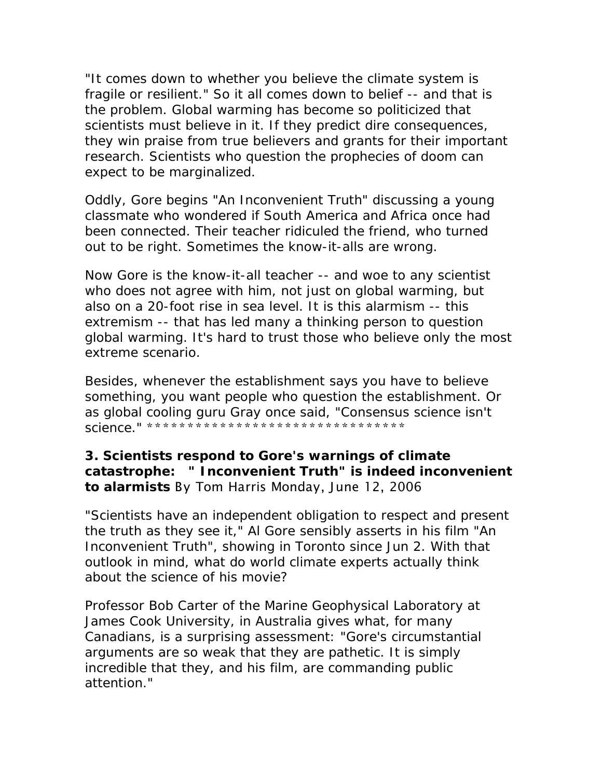"It comes down to whether you believe the climate system is fragile or resilient." So it all comes down to belief -- and that is the problem. Global warming has become so politicized that scientists must believe in it. If they predict dire consequences, they win praise from true believers and grants for their important research. Scientists who question the prophecies of doom can expect to be marginalized.

Oddly, Gore begins "An Inconvenient Truth" discussing a young classmate who wondered if South America and Africa once had been connected. Their teacher ridiculed the friend, who turned out to be right. Sometimes the know-it-alls are wrong.

Now Gore is the know-it-all teacher -- and woe to any scientist who does not agree with him, not just on global warming, but also on a 20-foot rise in sea level. It is this alarmism -- this extremism -- that has led many a thinking person to question global warming. It's hard to trust those who believe only the most extreme scenario.

Besides, whenever the establishment says you have to believe something, you want people who question the establishment. Or as global cooling guru Gray once said, "Consensus science isn't science." \*\*\*\*\*\*\*\*\*\*\*\*\*\*\*\*\*\*\*\*\*\*\*\*\*\*\*\*\*\*\*\*

### **3. Scientists respond to Gore's warnings of climate catastrophe:** *" Inconvenient Truth" is indeed inconvenient to alarmists* By Tom Harris Monday, June 12, 2006

"Scientists have an independent obligation to respect and present the truth as they see it," Al Gore sensibly asserts in his film "An Inconvenient Truth", showing in Toronto since Jun 2. With that outlook in mind, what do world climate experts actually think about the science of his movie?

Professor Bob Carter of the Marine Geophysical Laboratory at James Cook University, in Australia gives what, for many Canadians, is a surprising assessment: "Gore's circumstantial arguments are so weak that they are pathetic. It is simply incredible that they, and his film, are commanding public attention."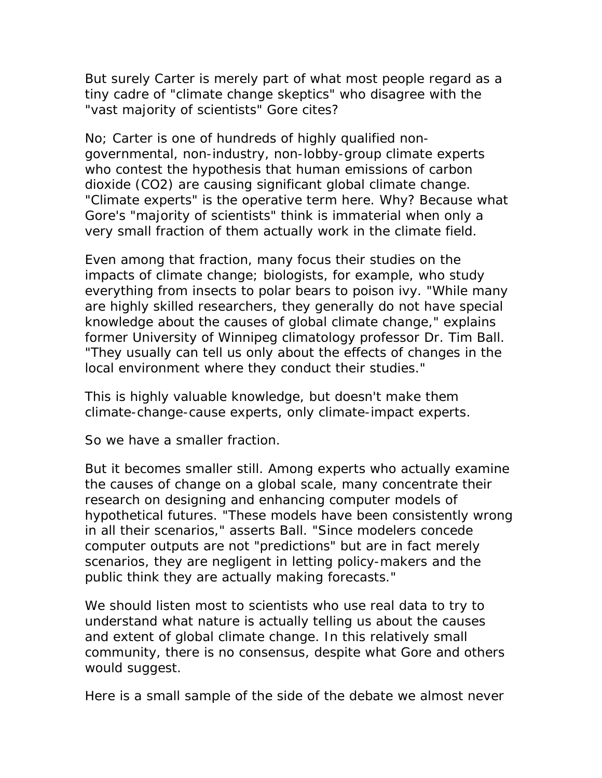But surely Carter is merely part of what most people regard as a tiny cadre of "climate change skeptics" who disagree with the "vast majority of scientists" Gore cites?

No; Carter is one of hundreds of highly qualified nongovernmental, non-industry, non-lobby-group climate experts who contest the hypothesis that human emissions of carbon dioxide (CO2) are causing significant global climate change. "Climate experts" is the operative term here. Why? Because what Gore's "majority of scientists" think is immaterial when only a very small fraction of them actually work in the climate field.

Even among that fraction, many focus their studies on the impacts of climate change; biologists, for example, who study everything from insects to polar bears to poison ivy. "While many are highly skilled researchers, they generally do not have special knowledge about the causes of global climate change," explains former University of Winnipeg climatology professor Dr. Tim Ball. "They usually can tell us only about the effects of changes in the local environment where they conduct their studies."

This is highly valuable knowledge, but doesn't make them climate-change-cause experts, only climate-impact experts.

So we have a smaller fraction.

But it becomes smaller still. Among experts who actually examine the causes of change on a global scale, many concentrate their research on designing and enhancing computer models of hypothetical futures. "These models have been consistently wrong in all their scenarios," asserts Ball. "Since modelers concede computer outputs are not "predictions" but are in fact merely scenarios, they are negligent in letting policy-makers and the public think they are actually making forecasts."

We should listen most to scientists who use real data to try to understand what nature is actually telling us about the causes and extent of global climate change. In this relatively small community, there is no consensus, despite what Gore and others would suggest.

Here is a small sample of the side of the debate we almost never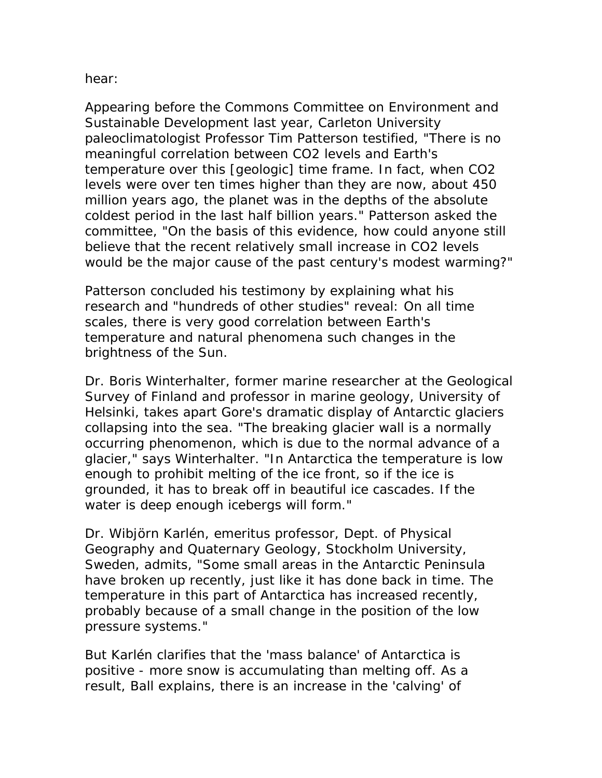hear:

Appearing before the Commons Committee on Environment and Sustainable Development last year, Carleton University paleoclimatologist Professor Tim Patterson testified, "There is no meaningful correlation between CO2 levels and Earth's temperature over this [geologic] time frame. In fact, when CO2 levels were over ten times higher than they are now, about 450 million years ago, the planet was in the depths of the absolute coldest period in the last half billion years." Patterson asked the committee, "On the basis of this evidence, how could anyone still believe that the recent relatively small increase in CO2 levels would be the major cause of the past century's modest warming?"

Patterson concluded his testimony by explaining what his research and "hundreds of other studies" reveal: On all time scales, there is very good correlation between Earth's temperature and natural phenomena such changes in the brightness of the Sun.

Dr. Boris Winterhalter, former marine researcher at the Geological Survey of Finland and professor in marine geology, University of Helsinki, takes apart Gore's dramatic display of Antarctic glaciers collapsing into the sea. "The breaking glacier wall is a normally occurring phenomenon, which is due to the normal advance of a glacier," says Winterhalter. "In Antarctica the temperature is low enough to prohibit melting of the ice front, so if the ice is grounded, it has to break off in beautiful ice cascades. If the water is deep enough icebergs will form."

Dr. Wibjörn Karlén, emeritus professor, Dept. of Physical Geography and Quaternary Geology, Stockholm University, Sweden, admits, "Some small areas in the Antarctic Peninsula have broken up recently, just like it has done back in time. The temperature in this part of Antarctica has increased recently, probably because of a small change in the position of the low pressure systems."

But Karlén clarifies that the 'mass balance' of Antarctica is positive - more snow is accumulating than melting off. As a result, Ball explains, there is an increase in the 'calving' of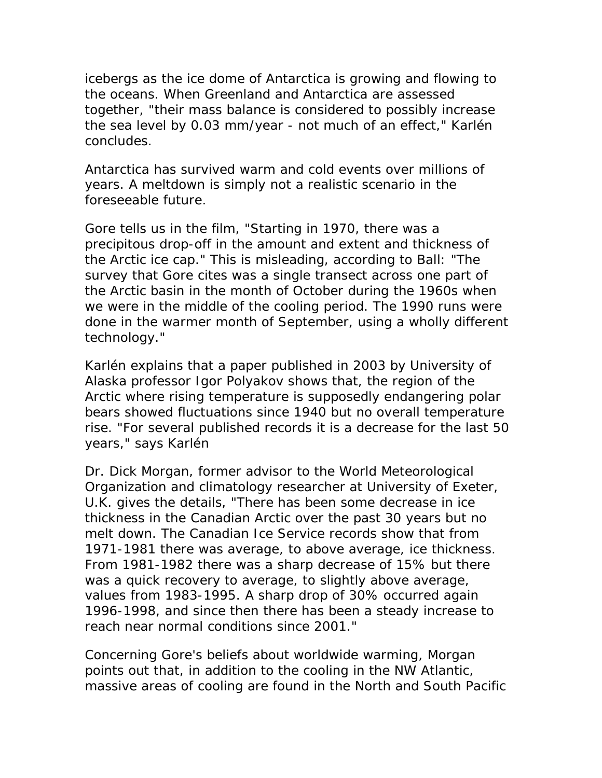icebergs as the ice dome of Antarctica is growing and flowing to the oceans. When Greenland and Antarctica are assessed together, "their mass balance is considered to possibly increase the sea level by 0.03 mm/year - not much of an effect," Karlén concludes.

Antarctica has survived warm and cold events over millions of years. A meltdown is simply not a realistic scenario in the foreseeable future.

Gore tells us in the film, "Starting in 1970, there was a precipitous drop-off in the amount and extent and thickness of the Arctic ice cap." This is misleading, according to Ball: "The survey that Gore cites was a single transect across one part of the Arctic basin in the month of October during the 1960s when we were in the middle of the cooling period. The 1990 runs were done in the warmer month of September, using a wholly different technology."

Karlén explains that a paper published in 2003 by University of Alaska professor Igor Polyakov shows that, the region of the Arctic where rising temperature is supposedly endangering polar bears showed fluctuations since 1940 but no overall temperature rise. "For several published records it is a decrease for the last 50 years," says Karlén

Dr. Dick Morgan, former advisor to the World Meteorological Organization and climatology researcher at University of Exeter, U.K. gives the details, "There has been some decrease in ice thickness in the Canadian Arctic over the past 30 years but no melt down. The Canadian Ice Service records show that from 1971-1981 there was average, to above average, ice thickness. From 1981-1982 there was a sharp decrease of 15% but there was a quick recovery to average, to slightly above average, values from 1983-1995. A sharp drop of 30% occurred again 1996-1998, and since then there has been a steady increase to reach near normal conditions since 2001."

Concerning Gore's beliefs about worldwide warming, Morgan points out that, in addition to the cooling in the NW Atlantic, massive areas of cooling are found in the North and South Pacific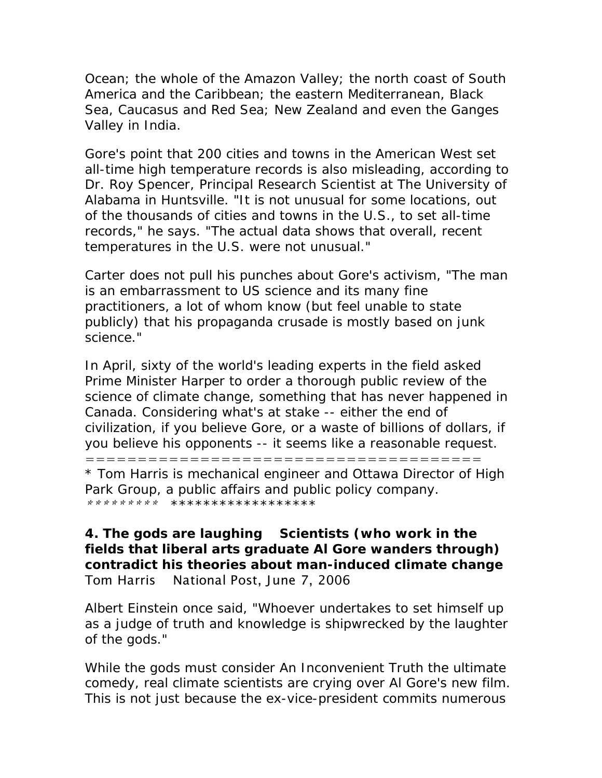Ocean; the whole of the Amazon Valley; the north coast of South America and the Caribbean; the eastern Mediterranean, Black Sea, Caucasus and Red Sea; New Zealand and even the Ganges Valley in India.

Gore's point that 200 cities and towns in the American West set all-time high temperature records is also misleading, according to Dr. Roy Spencer, Principal Research Scientist at The University of Alabama in Huntsville. "It is not unusual for some locations, out of the thousands of cities and towns in the U.S., to set all-time records," he says. "The actual data shows that overall, recent temperatures in the U.S. were not unusual."

Carter does not pull his punches about Gore's activism, "The man is an embarrassment to US science and its many fine practitioners, a lot of whom know (but feel unable to state publicly) that his propaganda crusade is mostly based on junk science."

In April, sixty of the world's leading experts in the field asked Prime Minister Harper to order a thorough public review of the science of climate change, something that has never happened in Canada. Considering what's at stake -- either the end of civilization, if you believe Gore, or a waste of billions of dollars, if you believe his opponents -- it seems like a reasonable request.

======================================

\* *Tom Harris is mechanical engineer and Ottawa Director of High Park Group, a public affairs and public policy company.*  \*\*\*\*\*\*\*\*\* \*\*\*\*\*\*\*\*\*\*\*\*\*\*\*\*\*\*

#### **4. The gods are laughing**  *Scientists (who work in the fields that liberal arts graduate Al Gore wanders through) contradict his theories about man-induced climate change*  Tom Harris 
National Post, June 7, 2006

Albert Einstein once said, "Whoever undertakes to set himself up as a judge of truth and knowledge is shipwrecked by the laughter of the gods."

While the gods must consider An Inconvenient Truth the ultimate comedy, real climate scientists are crying over Al Gore's new film. This is not just because the ex-vice-president commits numerous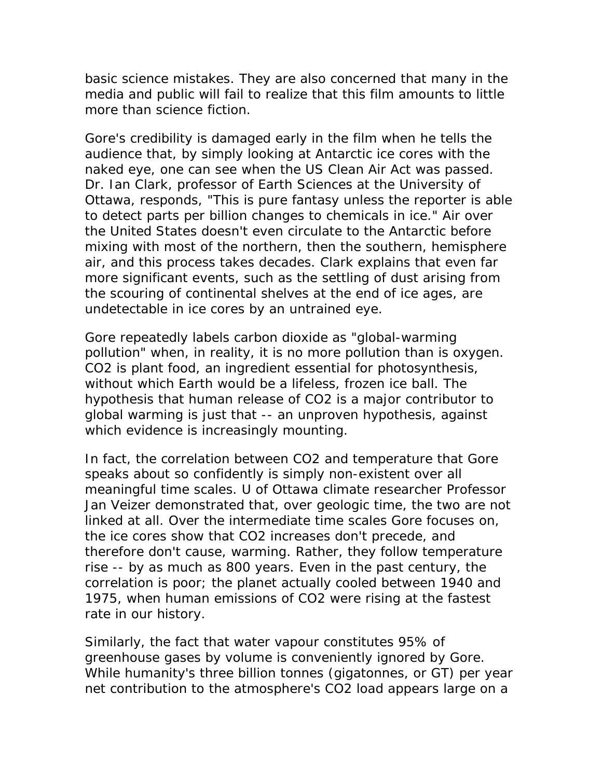basic science mistakes. They are also concerned that many in the media and public will fail to realize that this film amounts to little more than science fiction.

Gore's credibility is damaged early in the film when he tells the audience that, by simply looking at Antarctic ice cores with the naked eye, one can see when the US Clean Air Act was passed. Dr. Ian Clark, professor of Earth Sciences at the University of Ottawa, responds, "This is pure fantasy unless the reporter is able to detect parts per billion changes to chemicals in ice." Air over the United States doesn't even circulate to the Antarctic before mixing with most of the northern, then the southern, hemisphere air, and this process takes decades. Clark explains that even far more significant events, such as the settling of dust arising from the scouring of continental shelves at the end of ice ages, are undetectable in ice cores by an untrained eye.

Gore repeatedly labels carbon dioxide as "global-warming pollution" when, in reality, it is no more pollution than is oxygen. CO2 is plant food, an ingredient essential for photosynthesis, without which Earth would be a lifeless, frozen ice ball. The hypothesis that human release of CO2 is a major contributor to global warming is just that -- an unproven hypothesis, against which evidence is increasingly mounting.

In fact, the correlation between CO2 and temperature that Gore speaks about so confidently is simply non-existent over all meaningful time scales. U of Ottawa climate researcher Professor Jan Veizer demonstrated that, over geologic time, the two are not linked at all. Over the intermediate time scales Gore focuses on, the ice cores show that CO2 increases don't precede, and therefore don't cause, warming. Rather, they follow temperature rise -- by as much as 800 years. Even in the past century, the correlation is poor; the planet actually cooled between 1940 and 1975, when human emissions of CO2 were rising at the fastest rate in our history.

Similarly, the fact that water vapour constitutes 95% of greenhouse gases by volume is conveniently ignored by Gore. While humanity's three billion tonnes (gigatonnes, or GT) per year net contribution to the atmosphere's CO2 load appears large on a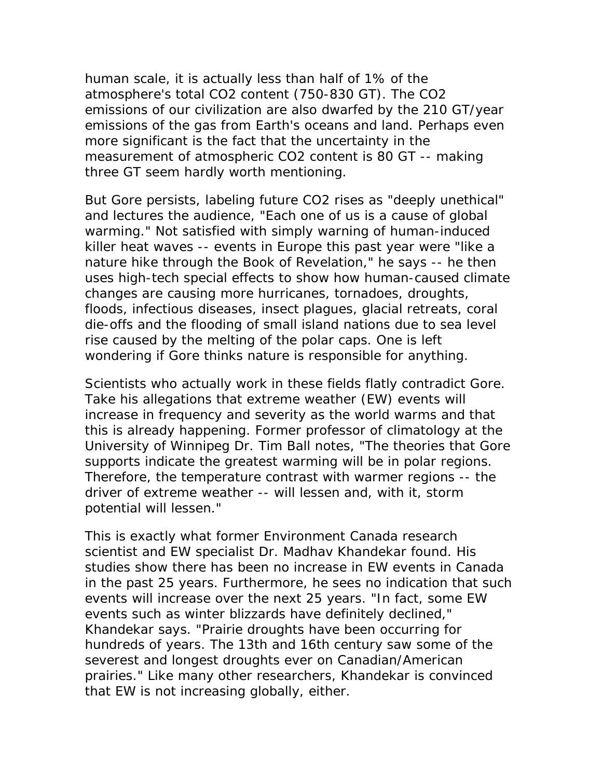human scale, it is actually less than half of 1% of the atmosphere's total CO2 content (750-830 GT). The CO2 emissions of our civilization are also dwarfed by the 210 GT/year emissions of the gas from Earth's oceans and land. Perhaps even more significant is the fact that the uncertainty in the measurement of atmospheric CO2 content is 80 GT -- making three GT seem hardly worth mentioning.

But Gore persists, labeling future CO2 rises as "deeply unethical" and lectures the audience, "Each one of us is a cause of global warming." Not satisfied with simply warning of human-induced killer heat waves -- events in Europe this past year were "like a nature hike through the Book of Revelation," he says -- he then uses high-tech special effects to show how human-caused climate changes are causing more hurricanes, tornadoes, droughts, floods, infectious diseases, insect plagues, glacial retreats, coral die-offs and the flooding of small island nations due to sea level rise caused by the melting of the polar caps. One is left wondering if Gore thinks nature is responsible for anything.

Scientists who actually work in these fields flatly contradict Gore. Take his allegations that extreme weather (EW) events will increase in frequency and severity as the world warms and that this is already happening. Former professor of climatology at the University of Winnipeg Dr. Tim Ball notes, "The theories that Gore supports indicate the greatest warming will be in polar regions. Therefore, the temperature contrast with warmer regions -- the driver of extreme weather -- will lessen and, with it, storm potential will lessen."

This is exactly what former Environment Canada research scientist and EW specialist Dr. Madhav Khandekar found. His studies show there has been no increase in EW events in Canada in the past 25 years. Furthermore, he sees no indication that such events will increase over the next 25 years. "In fact, some EW events such as winter blizzards have definitely declined," Khandekar says. "Prairie droughts have been occurring for hundreds of years. The 13th and 16th century saw some of the severest and longest droughts ever on Canadian/American prairies." Like many other researchers, Khandekar is convinced that EW is not increasing globally, either.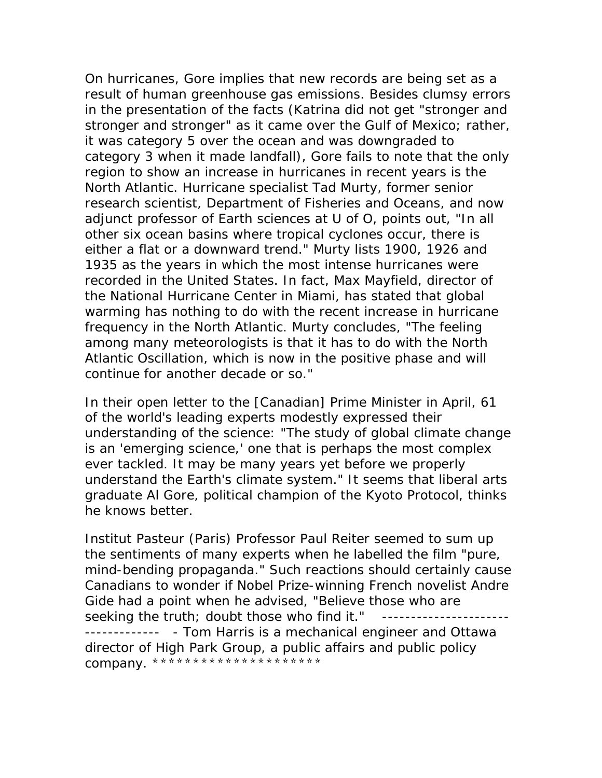On hurricanes, Gore implies that new records are being set as a result of human greenhouse gas emissions. Besides clumsy errors in the presentation of the facts (Katrina did not get "stronger and stronger and stronger" as it came over the Gulf of Mexico; rather, it was category 5 over the ocean and was downgraded to category 3 when it made landfall), Gore fails to note that the only region to show an increase in hurricanes in recent years is the North Atlantic. Hurricane specialist Tad Murty, former senior research scientist, Department of Fisheries and Oceans, and now adjunct professor of Earth sciences at U of O, points out, "In all other six ocean basins where tropical cyclones occur, there is either a flat or a downward trend." Murty lists 1900, 1926 and 1935 as the years in which the most intense hurricanes were recorded in the United States. In fact, Max Mayfield, director of the National Hurricane Center in Miami, has stated that global warming has nothing to do with the recent increase in hurricane frequency in the North Atlantic. Murty concludes, "The feeling among many meteorologists is that it has to do with the North Atlantic Oscillation, which is now in the positive phase and will continue for another decade or so."

In their open letter to the [Canadian] Prime Minister in April, 61 of the world's leading experts modestly expressed their understanding of the science: "The study of global climate change is an 'emerging science,' one that is perhaps the most complex ever tackled. It may be many years yet before we properly understand the Earth's climate system." It seems that liberal arts graduate Al Gore, political champion of the Kyoto Protocol, thinks he knows better.

Institut Pasteur (Paris) Professor Paul Reiter seemed to sum up the sentiments of many experts when he labelled the film "pure, mind-bending propaganda." Such reactions should certainly cause Canadians to wonder if Nobel Prize-winning French novelist Andre Gide had a point when he advised, "Believe those who are seeking the truth; doubt those who find it." ------------------- - Tom Harris is a mechanical engineer and Ottawa director of High Park Group, a public affairs and public policy company. \*\*\*\*\*\*\*\*\*\*\*\*\*\*\*\*\*\*\*\*\*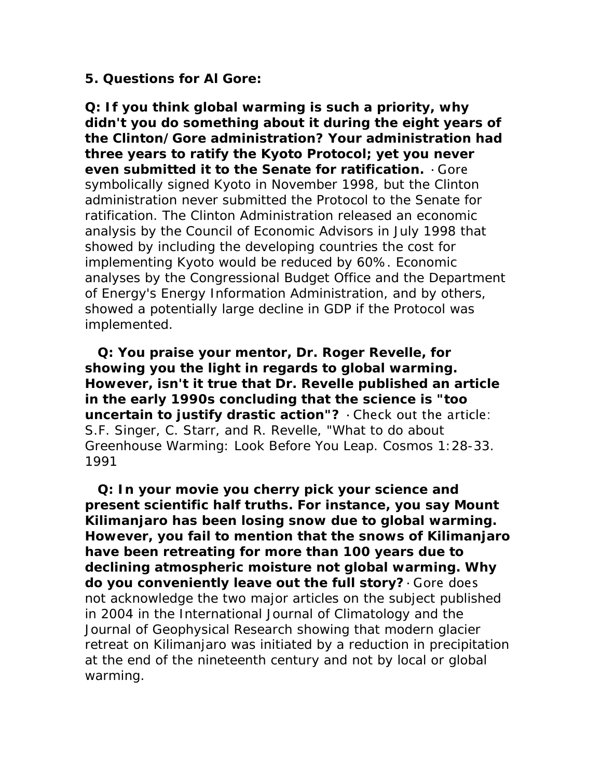#### **5. Questions for Al Gore:**

*Q: If you think global warming is such a priority, why didn't you do something about it during the eight years of the Clinton/Gore administration? Your administration had three years to ratify the Kyoto Protocol; yet you never even submitted it to the Senate for ratification.* · Gore symbolically signed Kyoto in November 1998, but the Clinton administration never submitted the Protocol to the Senate for ratification. The Clinton Administration released an economic analysis by the Council of Economic Advisors in July 1998 that showed by including the developing countries the cost for implementing Kyoto would be reduced by 60%. Economic analyses by the Congressional Budget Office and the Department of Energy's Energy Information Administration, and by others, showed a potentially large decline in GDP if the Protocol was implemented.

*Q: You praise your mentor, Dr. Roger Revelle, for showing you the light in regards to global warming. However, isn't it true that Dr. Revelle published an article in the early 1990s concluding that the science is "too uncertain to justify drastic action"?* · Check out the article: S.F. Singer, C. Starr, and R. Revelle, "What to do about Greenhouse Warming: Look Before You Leap. Cosmos 1:28-33. 1991

*Q: In your movie you cherry pick your science and present scientific half truths. For instance, you say Mount Kilimanjaro has been losing snow due to global warming. However, you fail to mention that the snows of Kilimanjaro have been retreating for more than 100 years due to declining atmospheric moisture not global warming. Why do you conveniently leave out the full story?*· Gore does not acknowledge the two major articles on the subject published in 2004 in the International Journal of Climatology and the Journal of Geophysical Research showing that modern glacier retreat on Kilimanjaro was initiated by a reduction in precipitation at the end of the nineteenth century and not by local or global warming.